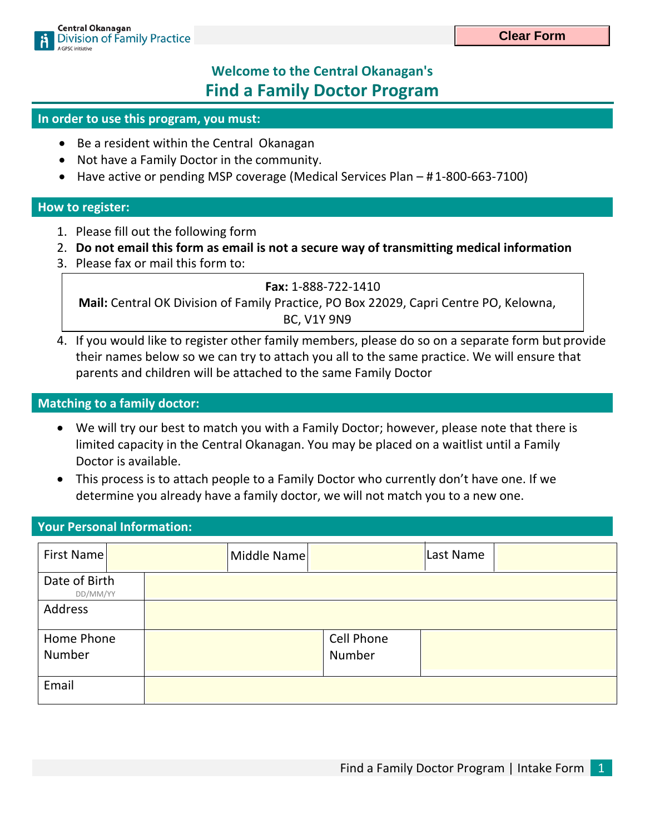# **Welcome to the Central Okanagan's Find a Family Doctor Program**

#### **In order to use this program, you must:**

- Be a resident within the Central Okanagan
- Not have a Family Doctor in the community.
- Have active or pending MSP coverage (Medical Services Plan # 1-800-663-7100)

#### **How to register:**

- 1. Please fill out the following form
- 2. **Do not email this form as email is not a secure way of transmitting medical information**
- 3. Please fax or mail this form to:

**Fax:** 1-888-722-1410

**Mail:** Central OK Division of Family Practice, PO Box 22029, Capri Centre PO, Kelowna, BC, V1Y 9N9

4. If you would like to register other family members, please do so on a separate form but provide their names below so we can try to attach you all to the same practice. We will ensure that parents and children will be attached to the same Family Doctor

#### **Matching to a family doctor:**

- We will try our best to match you with a Family Doctor; however, please note that there is limited capacity in the Central Okanagan. You may be placed on a waitlist until a Family Doctor is available.
- This process is to attach people to a Family Doctor who currently don't have one. If we determine you already have a family doctor, we will not match you to a new one.

#### **Your Personal Information:**

| First Name                | Middle Name |            | Last Name |  |
|---------------------------|-------------|------------|-----------|--|
| Date of Birth<br>DD/MM/YY |             |            |           |  |
| Address                   |             |            |           |  |
| Home Phone                |             | Cell Phone |           |  |
| Number                    |             | Number     |           |  |
| Email                     |             |            |           |  |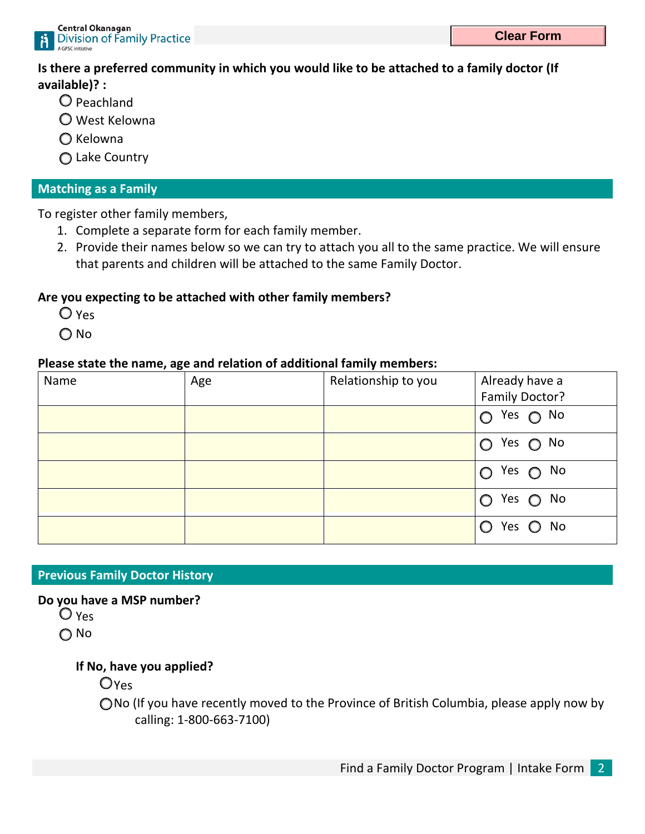

**Is there a preferred community in which you would like to be attached to a family doctor (If available)? :** 

- Peachland
- West Kelowna
- $\bigcirc$  Kelowna
- Lake Country

## **Matching as a Family**

To register other family members,

- 1. Complete a separate form for each family member.
- 2. Provide their names below so we can try to attach you all to the same practice. We will ensure that parents and children will be attached to the same Family Doctor.

# **Are you expecting to be attached with other family members?**

- $O$  Yes
- O No

### **Please state the name, age and relation of additional family members:**

| Name | Age | Relationship to you | Already have a<br>Family Doctor? |
|------|-----|---------------------|----------------------------------|
|      |     |                     | $O$ Yes $O$ No                   |
|      |     |                     | $O$ Yes $O$ No                   |
|      |     |                     | $O$ Yes $O$ No                   |
|      |     |                     | Yes $\bigcirc$ No<br>$\bigcirc$  |
|      |     |                     | Yes O No                         |

# **Previous Family Doctor History**

### **Do you have a MSP number?**

Yes

∩ No

# **If No, have you applied?**

**O**Yes

No (If you have recently moved to the Province of British Columbia, please apply now by calling: 1-800-663-7100)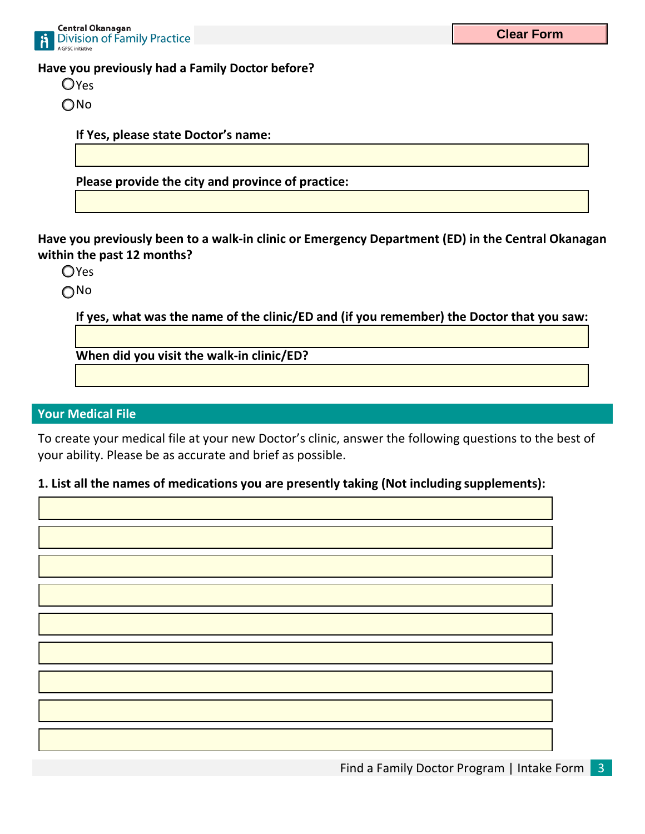

**Have you previously had a Family Doctor before?** 

**O**Yes

O<sub>No</sub>

**If Yes, please state Doctor's name:**

**Please provide the city and province of practice:**

**Have you previously been to a walk-in clinic or Emergency Department (ED) in the Central Okanagan within the past 12 months?** 

**O**Yes

No

**If yes, what was the name of the clinic/ED and (if you remember) the Doctor that you saw:** 

**When did you visit the walk-in clinic/ED?**

### **Your Medical File**

To create your medical file at your new Doctor's clinic, answer the following questions to the best of your ability. Please be as accurate and brief as possible.

### **1. List all the names of medications you are presently taking (Not including supplements):**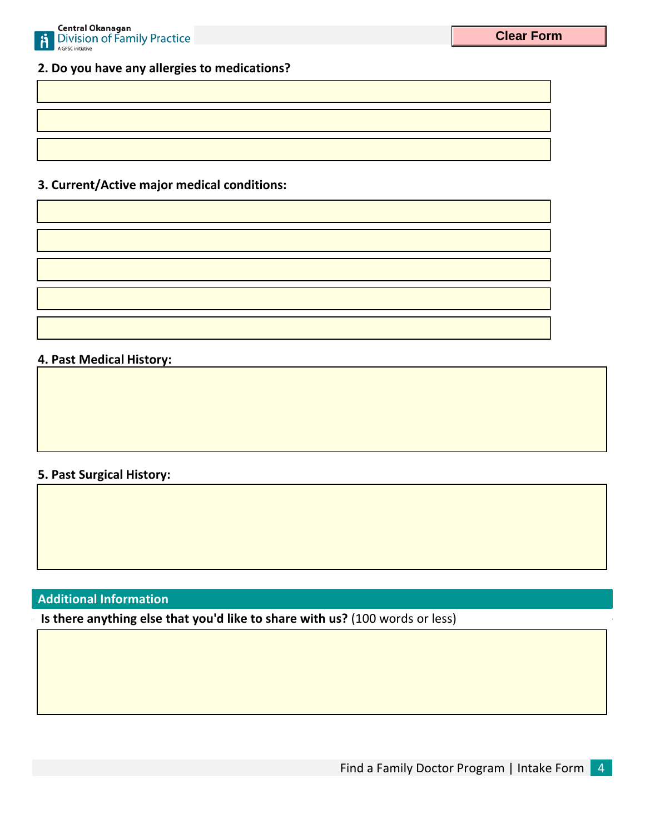

### **2. Do you have any allergies to medications?**

# **3. Current/Active major medical conditions:**

#### **4. Past Medical History:**

### **5. Past Surgical History:**

# **Additional Information**

**Is there anything else that you'd like to share with us?** (100 words or less)